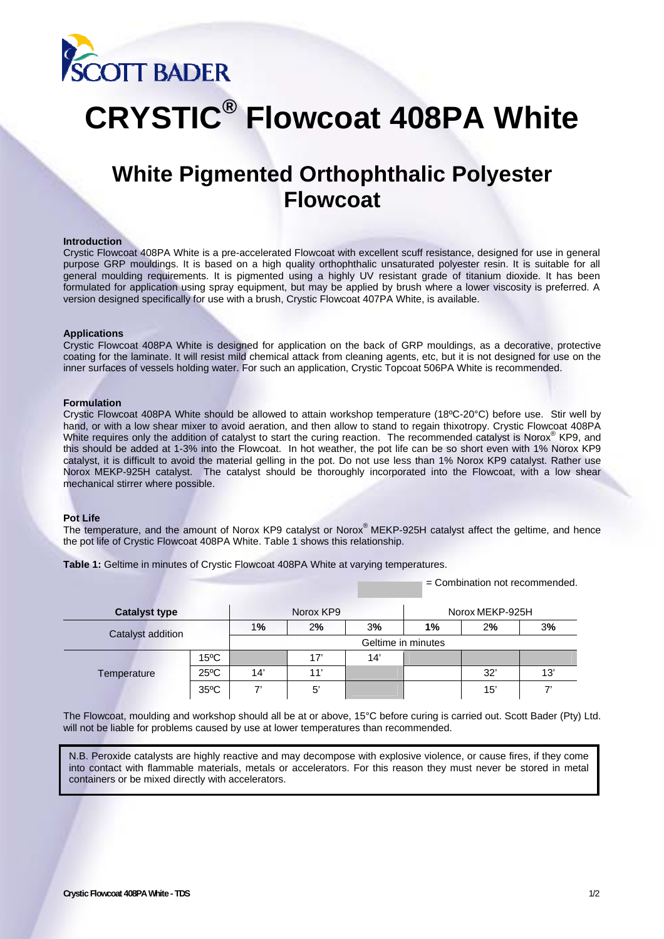

# **CRYSTIC® Flowcoat 408PA White**

# **White Pigmented Orthophthalic Polyester Flowcoat**

#### **Introduction**

Crystic Flowcoat 408PA White is a pre-accelerated Flowcoat with excellent scuff resistance, designed for use in general purpose GRP mouldings. It is based on a high quality orthophthalic unsaturated polyester resin. It is suitable for all general moulding requirements. It is pigmented using a highly UV resistant grade of titanium dioxide. It has been formulated for application using spray equipment, but may be applied by brush where a lower viscosity is preferred. A version designed specifically for use with a brush, Crystic Flowcoat 407PA White, is available.

#### **Applications**

Crystic Flowcoat 408PA White is designed for application on the back of GRP mouldings, as a decorative, protective coating for the laminate. It will resist mild chemical attack from cleaning agents, etc, but it is not designed for use on the inner surfaces of vessels holding water. For such an application, Crystic Topcoat 506PA White is recommended.

#### **Formulation**

Crystic Flowcoat 408PA White should be allowed to attain workshop temperature (18ºC-20°C) before use. Stir well by hand, or with a low shear mixer to avoid aeration, and then allow to stand to regain thixotropy. Crystic Flowcoat 408PA White requires only the addition of catalyst to start the curing reaction. The recommended catalyst is Norox® KP9, and this should be added at 1-3% into the Flowcoat. In hot weather, the pot life can be so short even with 1% Norox KP9 catalyst, it is difficult to avoid the material gelling in the pot. Do not use less than 1% Norox KP9 catalyst. Rather use Norox MEKP-925H catalyst. The catalyst should be thoroughly incorporated into the Flowcoat, with a low shear mechanical stirrer where possible.

# **Pot Life**

The temperature, and the amount of Norox KP9 catalyst or Norox<sup>®</sup> MEKP-925H catalyst affect the geltime, and hence the pot life of Crystic Flowcoat 408PA White. Table 1 shows this relationship.

**Table 1:** Geltime in minutes of Crystic Flowcoat 408PA White at varying temperatures.

= Combination not recommended.

| <b>Catalyst type</b>     |                | Norox KP9          |     |     | Norox MEKP-925H |     |     |
|--------------------------|----------------|--------------------|-----|-----|-----------------|-----|-----|
| <b>Catalyst addition</b> |                | 1%                 | 2%  | 3%  | 1%              | 2%  | 3%  |
|                          |                | Geltime in minutes |     |     |                 |     |     |
| Temperature              | $15^{\circ}$ C |                    | 17' | 14' |                 |     |     |
|                          | $25^{\circ}$ C | 14'                | 11' |     |                 | 32' | 13' |
|                          | $35^{\circ}$ C | 7                  | 5'  |     |                 | 15' | 7,  |

The Flowcoat, moulding and workshop should all be at or above, 15°C before curing is carried out. Scott Bader (Pty) Ltd. will not be liable for problems caused by use at lower temperatures than recommended.

N.B. Peroxide catalysts are highly reactive and may decompose with explosive violence, or cause fires, if they come into contact with flammable materials, metals or accelerators. For this reason they must never be stored in metal containers or be mixed directly with accelerators.